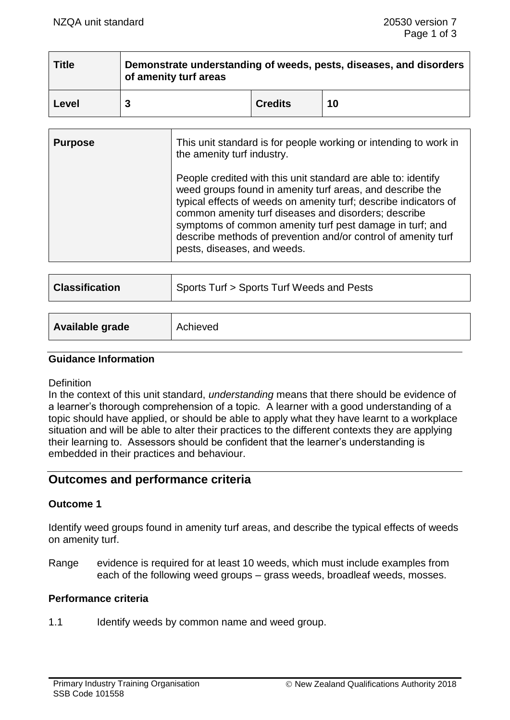# **Title Demonstrate understanding of weeds, pests, diseases, and disorders of amenity turf areas Level 3 Credits 10**

| <b>Purpose</b> | This unit standard is for people working or intending to work in<br>the amenity turf industry.                                                                                                                                                                                                                                                                                                                     |
|----------------|--------------------------------------------------------------------------------------------------------------------------------------------------------------------------------------------------------------------------------------------------------------------------------------------------------------------------------------------------------------------------------------------------------------------|
|                | People credited with this unit standard are able to: identify<br>weed groups found in amenity turf areas, and describe the<br>typical effects of weeds on amenity turf; describe indicators of<br>common amenity turf diseases and disorders; describe<br>symptoms of common amenity turf pest damage in turf; and<br>describe methods of prevention and/or control of amenity turf<br>pests, diseases, and weeds. |

| <b>Classification</b> | Sports Turf > Sports Turf Weeds and Pests |  |
|-----------------------|-------------------------------------------|--|
|                       |                                           |  |

| Available grade | Achieved |
|-----------------|----------|
|                 |          |

# **Guidance Information**

# **Definition**

In the context of this unit standard, *understanding* means that there should be evidence of a learner's thorough comprehension of a topic. A learner with a good understanding of a topic should have applied, or should be able to apply what they have learnt to a workplace situation and will be able to alter their practices to the different contexts they are applying their learning to. Assessors should be confident that the learner's understanding is embedded in their practices and behaviour.

# **Outcomes and performance criteria**

# **Outcome 1**

Identify weed groups found in amenity turf areas, and describe the typical effects of weeds on amenity turf.

Range evidence is required for at least 10 weeds, which must include examples from each of the following weed groups – grass weeds, broadleaf weeds, mosses.

# **Performance criteria**

1.1 Identify weeds by common name and weed group.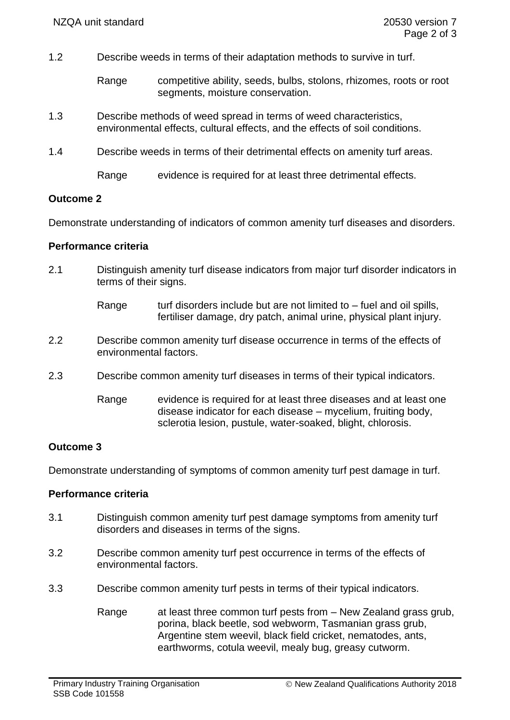- 1.2 Describe weeds in terms of their adaptation methods to survive in turf.
	- Range competitive ability, seeds, bulbs, stolons, rhizomes, roots or root segments, moisture conservation.
- 1.3 Describe methods of weed spread in terms of weed characteristics, environmental effects, cultural effects, and the effects of soil conditions.
- 1.4 Describe weeds in terms of their detrimental effects on amenity turf areas.

Range evidence is required for at least three detrimental effects.

#### **Outcome 2**

Demonstrate understanding of indicators of common amenity turf diseases and disorders.

#### **Performance criteria**

- 2.1 Distinguish amenity turf disease indicators from major turf disorder indicators in terms of their signs.
	- Range turf disorders include but are not limited to  $-$  fuel and oil spills, fertiliser damage, dry patch, animal urine, physical plant injury.
- 2.2 Describe common amenity turf disease occurrence in terms of the effects of environmental factors.
- 2.3 Describe common amenity turf diseases in terms of their typical indicators.
	- Range evidence is required for at least three diseases and at least one disease indicator for each disease – mycelium, fruiting body, sclerotia lesion, pustule, water-soaked, blight, chlorosis.

# **Outcome 3**

Demonstrate understanding of symptoms of common amenity turf pest damage in turf.

# **Performance criteria**

- 3.1 Distinguish common amenity turf pest damage symptoms from amenity turf disorders and diseases in terms of the signs.
- 3.2 Describe common amenity turf pest occurrence in terms of the effects of environmental factors.
- 3.3 Describe common amenity turf pests in terms of their typical indicators.
	- Range at least three common turf pests from New Zealand grass grub, porina, black beetle, sod webworm, Tasmanian grass grub, Argentine stem weevil, black field cricket, nematodes, ants, earthworms, cotula weevil, mealy bug, greasy cutworm.